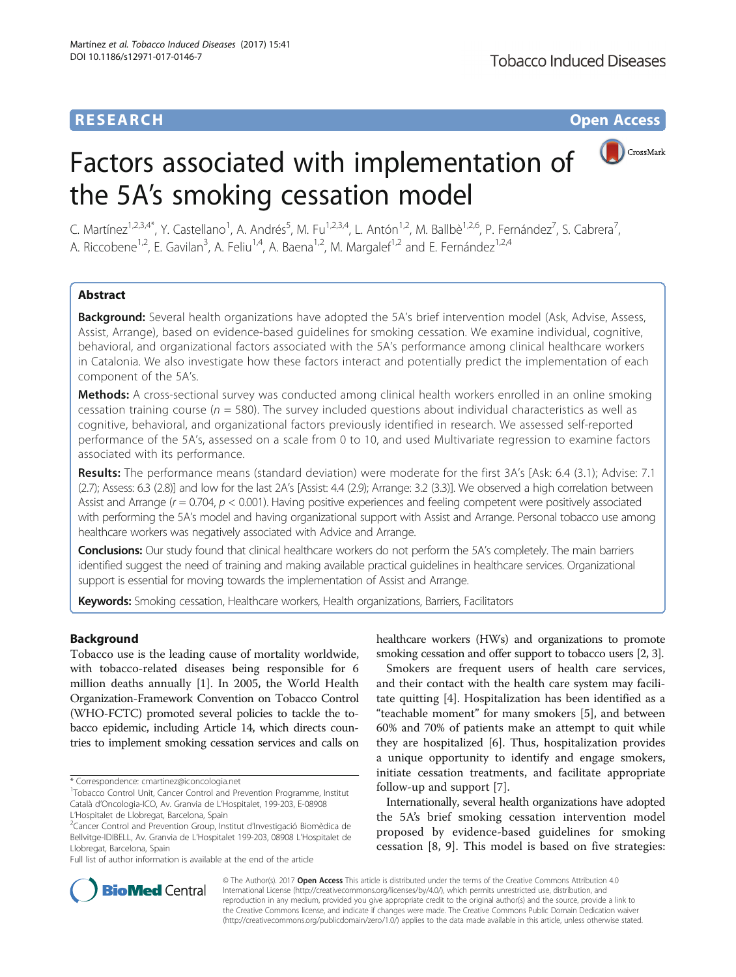## **RESEARCH RESEARCH** *CHECKER CHECKER CHECKER CHECKER CHECKER CHECKER CHECKER CHECKER CHECKER CHECKER CHECKER*

CrossMark

# Factors associated with implementation of the 5A's smoking cessation model

C. Martínez<sup>1,2,3,4\*</sup>, Y. Castellano<sup>1</sup>, A. Andrés<sup>5</sup>, M. Fu<sup>1,2,3,4</sup>, L. Antón<sup>1,2</sup>, M. Ballbè<sup>1,2,6</sup>, P. Fernández<sup>7</sup>, S. Cabrera<sup>7</sup> , A. Riccobene<sup>1,2</sup>, E. Gavilan<sup>3</sup>, A. Feliu<sup>1,4</sup>, A. Baena<sup>1,2</sup>, M. Margalef<sup>1,2</sup> and E. Fernández<sup>1,2,4</sup>

## Abstract

Background: Several health organizations have adopted the 5A's brief intervention model (Ask, Advise, Assess, Assist, Arrange), based on evidence-based guidelines for smoking cessation. We examine individual, cognitive, behavioral, and organizational factors associated with the 5A's performance among clinical healthcare workers in Catalonia. We also investigate how these factors interact and potentially predict the implementation of each component of the 5A's.

Methods: A cross-sectional survey was conducted among clinical health workers enrolled in an online smoking cessation training course ( $n = 580$ ). The survey included questions about individual characteristics as well as cognitive, behavioral, and organizational factors previously identified in research. We assessed self-reported performance of the 5A's, assessed on a scale from 0 to 10, and used Multivariate regression to examine factors associated with its performance.

Results: The performance means (standard deviation) were moderate for the first 3A's [Ask: 6.4 (3.1); Advise: 7.1 (2.7); Assess: 6.3 (2.8)] and low for the last 2A's [Assist: 4.4 (2.9); Arrange: 3.2 (3.3)]. We observed a high correlation between Assist and Arrange ( $r = 0.704$ ,  $p < 0.001$ ). Having positive experiences and feeling competent were positively associated with performing the 5A's model and having organizational support with Assist and Arrange. Personal tobacco use among healthcare workers was negatively associated with Advice and Arrange.

Conclusions: Our study found that clinical healthcare workers do not perform the 5A's completely. The main barriers identified suggest the need of training and making available practical guidelines in healthcare services. Organizational support is essential for moving towards the implementation of Assist and Arrange.

**Keywords:** Smoking cessation, Healthcare workers, Health organizations, Barriers, Facilitators

## Background

Tobacco use is the leading cause of mortality worldwide, with tobacco-related diseases being responsible for 6 million deaths annually [\[1](#page-10-0)]. In 2005, the World Health Organization-Framework Convention on Tobacco Control (WHO-FCTC) promoted several policies to tackle the tobacco epidemic, including Article 14, which directs countries to implement smoking cessation services and calls on

Full list of author information is available at the end of the article

healthcare workers (HWs) and organizations to promote smoking cessation and offer support to tobacco users [\[2](#page-10-0), [3](#page-10-0)].

Smokers are frequent users of health care services, and their contact with the health care system may facilitate quitting [[4\]](#page-10-0). Hospitalization has been identified as a "teachable moment" for many smokers [[5\]](#page-10-0), and between 60% and 70% of patients make an attempt to quit while they are hospitalized [[6](#page-10-0)]. Thus, hospitalization provides a unique opportunity to identify and engage smokers, initiate cessation treatments, and facilitate appropriate follow-up and support [\[7](#page-10-0)].

Internationally, several health organizations have adopted the 5A's brief smoking cessation intervention model proposed by evidence-based guidelines for smoking cessation [[8, 9\]](#page-10-0). This model is based on five strategies:



© The Author(s). 2017 **Open Access** This article is distributed under the terms of the Creative Commons Attribution 4.0 International License [\(http://creativecommons.org/licenses/by/4.0/](http://creativecommons.org/licenses/by/4.0/)), which permits unrestricted use, distribution, and reproduction in any medium, provided you give appropriate credit to the original author(s) and the source, provide a link to the Creative Commons license, and indicate if changes were made. The Creative Commons Public Domain Dedication waiver [\(http://creativecommons.org/publicdomain/zero/1.0/](http://creativecommons.org/publicdomain/zero/1.0/)) applies to the data made available in this article, unless otherwise stated.

<sup>\*</sup> Correspondence: [cmartinez@iconcologia.net](mailto:cmartinez@iconcologia.net) <sup>1</sup>

<sup>&</sup>lt;sup>1</sup>Tobacco Control Unit, Cancer Control and Prevention Programme, Institut Català d'Oncologia-ICO, Av. Granvia de L'Hospitalet, 199-203, E-08908

L'Hospitalet de Llobregat, Barcelona, Spain

<sup>&</sup>lt;sup>2</sup> Cancer Control and Prevention Group, Institut d'Investigació Biomèdica de Bellvitge-IDIBELL, Av. Granvia de L'Hospitalet 199-203, 08908 L'Hospitalet de Llobregat, Barcelona, Spain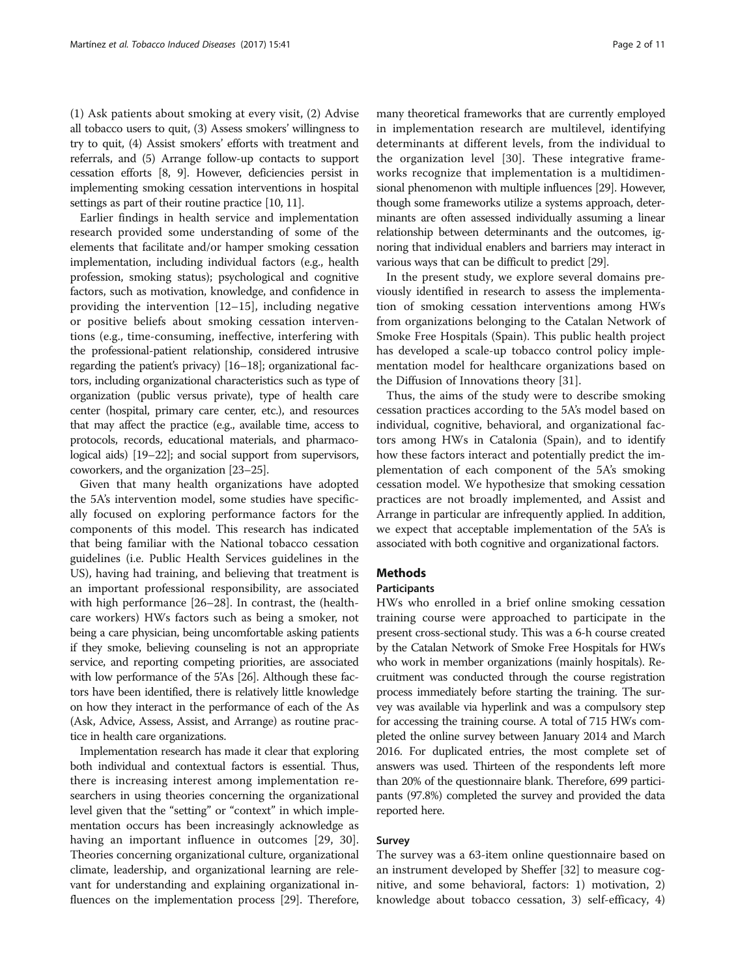(1) Ask patients about smoking at every visit, (2) Advise all tobacco users to quit, (3) Assess smokers' willingness to try to quit, (4) Assist smokers' efforts with treatment and referrals, and (5) Arrange follow-up contacts to support cessation efforts [\[8, 9](#page-10-0)]. However, deficiencies persist in implementing smoking cessation interventions in hospital settings as part of their routine practice [[10](#page-10-0), [11](#page-10-0)].

Earlier findings in health service and implementation research provided some understanding of some of the elements that facilitate and/or hamper smoking cessation implementation, including individual factors (e.g., health profession, smoking status); psychological and cognitive factors, such as motivation, knowledge, and confidence in providing the intervention [\[12](#page-10-0)–[15](#page-10-0)], including negative or positive beliefs about smoking cessation interventions (e.g., time-consuming, ineffective, interfering with the professional-patient relationship, considered intrusive regarding the patient's privacy) [[16](#page-10-0)–[18](#page-10-0)]; organizational factors, including organizational characteristics such as type of organization (public versus private), type of health care center (hospital, primary care center, etc.), and resources that may affect the practice (e.g., available time, access to protocols, records, educational materials, and pharmacological aids) [\[19](#page-10-0)–[22\]](#page-10-0); and social support from supervisors, coworkers, and the organization [\[23](#page-10-0)–[25\]](#page-10-0).

Given that many health organizations have adopted the 5A's intervention model, some studies have specifically focused on exploring performance factors for the components of this model. This research has indicated that being familiar with the National tobacco cessation guidelines (i.e. Public Health Services guidelines in the US), having had training, and believing that treatment is an important professional responsibility, are associated with high performance [\[26](#page-10-0)–[28\]](#page-10-0). In contrast, the (healthcare workers) HWs factors such as being a smoker, not being a care physician, being uncomfortable asking patients if they smoke, believing counseling is not an appropriate service, and reporting competing priorities, are associated with low performance of the 5'As [\[26\]](#page-10-0). Although these factors have been identified, there is relatively little knowledge on how they interact in the performance of each of the As (Ask, Advice, Assess, Assist, and Arrange) as routine practice in health care organizations.

Implementation research has made it clear that exploring both individual and contextual factors is essential. Thus, there is increasing interest among implementation researchers in using theories concerning the organizational level given that the "setting" or "context" in which implementation occurs has been increasingly acknowledge as having an important influence in outcomes [[29, 30](#page-10-0)]. Theories concerning organizational culture, organizational climate, leadership, and organizational learning are relevant for understanding and explaining organizational influences on the implementation process [[29](#page-10-0)]. Therefore,

many theoretical frameworks that are currently employed in implementation research are multilevel, identifying determinants at different levels, from the individual to the organization level [\[30](#page-10-0)]. These integrative frameworks recognize that implementation is a multidimensional phenomenon with multiple influences [[29](#page-10-0)]. However, though some frameworks utilize a systems approach, determinants are often assessed individually assuming a linear relationship between determinants and the outcomes, ignoring that individual enablers and barriers may interact in various ways that can be difficult to predict [[29](#page-10-0)].

In the present study, we explore several domains previously identified in research to assess the implementation of smoking cessation interventions among HWs from organizations belonging to the Catalan Network of Smoke Free Hospitals (Spain). This public health project has developed a scale-up tobacco control policy implementation model for healthcare organizations based on the Diffusion of Innovations theory [\[31](#page-10-0)].

Thus, the aims of the study were to describe smoking cessation practices according to the 5A's model based on individual, cognitive, behavioral, and organizational factors among HWs in Catalonia (Spain), and to identify how these factors interact and potentially predict the implementation of each component of the 5A's smoking cessation model. We hypothesize that smoking cessation practices are not broadly implemented, and Assist and Arrange in particular are infrequently applied. In addition, we expect that acceptable implementation of the 5A's is associated with both cognitive and organizational factors.

## Methods

## Participants

HWs who enrolled in a brief online smoking cessation training course were approached to participate in the present cross-sectional study. This was a 6-h course created by the Catalan Network of Smoke Free Hospitals for HWs who work in member organizations (mainly hospitals). Recruitment was conducted through the course registration process immediately before starting the training. The survey was available via hyperlink and was a compulsory step for accessing the training course. A total of 715 HWs completed the online survey between January 2014 and March 2016. For duplicated entries, the most complete set of answers was used. Thirteen of the respondents left more than 20% of the questionnaire blank. Therefore, 699 participants (97.8%) completed the survey and provided the data reported here.

## Survey

The survey was a 63-item online questionnaire based on an instrument developed by Sheffer [\[32](#page-10-0)] to measure cognitive, and some behavioral, factors: 1) motivation, 2) knowledge about tobacco cessation, 3) self-efficacy, 4)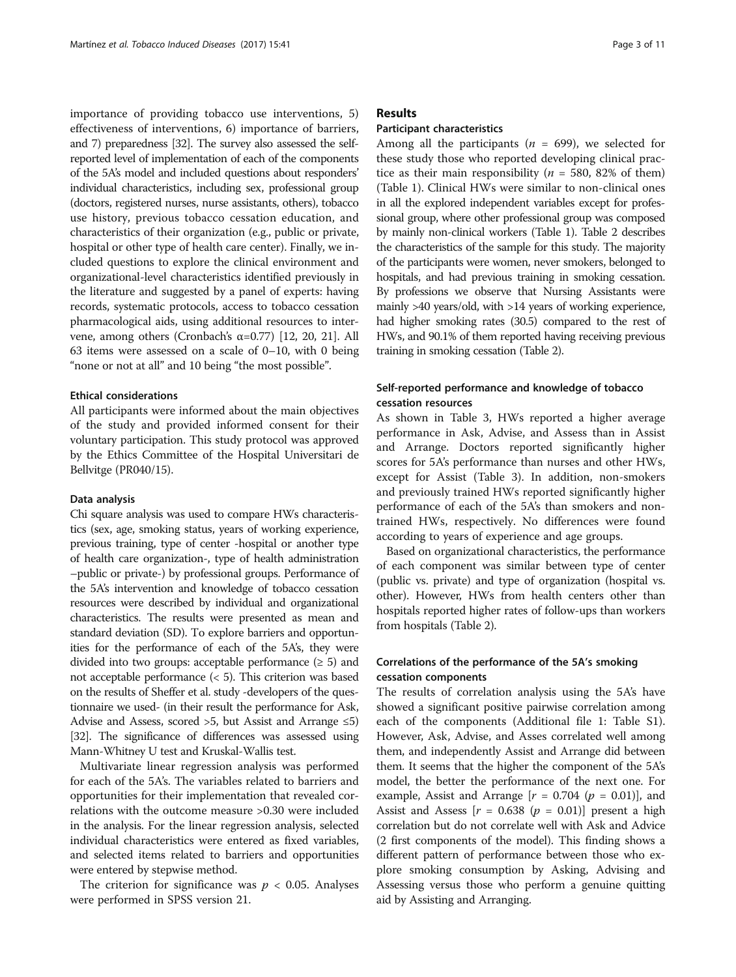importance of providing tobacco use interventions, 5) effectiveness of interventions, 6) importance of barriers, and 7) preparedness [\[32](#page-10-0)]. The survey also assessed the selfreported level of implementation of each of the components of the 5A's model and included questions about responders' individual characteristics, including sex, professional group (doctors, registered nurses, nurse assistants, others), tobacco use history, previous tobacco cessation education, and characteristics of their organization (e.g., public or private, hospital or other type of health care center). Finally, we included questions to explore the clinical environment and organizational-level characteristics identified previously in the literature and suggested by a panel of experts: having records, systematic protocols, access to tobacco cessation pharmacological aids, using additional resources to intervene, among others (Cronbach's α=0.77) [\[12, 20](#page-10-0), [21\]](#page-10-0). All 63 items were assessed on a scale of 0–10, with 0 being "none or not at all" and 10 being "the most possible".

#### Ethical considerations

All participants were informed about the main objectives of the study and provided informed consent for their voluntary participation. This study protocol was approved by the Ethics Committee of the Hospital Universitari de Bellvitge (PR040/15).

#### Data analysis

Chi square analysis was used to compare HWs characteristics (sex, age, smoking status, years of working experience, previous training, type of center -hospital or another type of health care organization-, type of health administration –public or private-) by professional groups. Performance of the 5A's intervention and knowledge of tobacco cessation resources were described by individual and organizational characteristics. The results were presented as mean and standard deviation (SD). To explore barriers and opportunities for the performance of each of the 5A's, they were divided into two groups: acceptable performance  $(≥ 5)$  and not acceptable performance (< 5). This criterion was based on the results of Sheffer et al. study -developers of the questionnaire we used- (in their result the performance for Ask, Advise and Assess, scored  $>5$ , but Assist and Arrange  $\leq 5$ ) [[32](#page-10-0)]. The significance of differences was assessed using Mann-Whitney U test and Kruskal-Wallis test.

Multivariate linear regression analysis was performed for each of the 5A's. The variables related to barriers and opportunities for their implementation that revealed correlations with the outcome measure >0.30 were included in the analysis. For the linear regression analysis, selected individual characteristics were entered as fixed variables, and selected items related to barriers and opportunities were entered by stepwise method.

The criterion for significance was  $p < 0.05$ . Analyses were performed in SPSS version 21.

## Results

## Participant characteristics

Among all the participants ( $n = 699$ ), we selected for these study those who reported developing clinical practice as their main responsibility ( $n = 580, 82\%$  of them) (Table [1\)](#page-3-0). Clinical HWs were similar to non-clinical ones in all the explored independent variables except for professional group, where other professional group was composed by mainly non-clinical workers (Table [1](#page-3-0)). Table [2](#page-4-0) describes the characteristics of the sample for this study. The majority of the participants were women, never smokers, belonged to hospitals, and had previous training in smoking cessation. By professions we observe that Nursing Assistants were mainly >40 years/old, with >14 years of working experience, had higher smoking rates (30.5) compared to the rest of HWs, and 90.1% of them reported having receiving previous training in smoking cessation (Table [2\)](#page-4-0).

## Self-reported performance and knowledge of tobacco cessation resources

As shown in Table [3,](#page-5-0) HWs reported a higher average performance in Ask, Advise, and Assess than in Assist and Arrange. Doctors reported significantly higher scores for 5A's performance than nurses and other HWs, except for Assist (Table [3\)](#page-5-0). In addition, non-smokers and previously trained HWs reported significantly higher performance of each of the 5A's than smokers and nontrained HWs, respectively. No differences were found according to years of experience and age groups.

Based on organizational characteristics, the performance of each component was similar between type of center (public vs. private) and type of organization (hospital vs. other). However, HWs from health centers other than hospitals reported higher rates of follow-ups than workers from hospitals (Table [2\)](#page-4-0).

## Correlations of the performance of the 5A's smoking cessation components

The results of correlation analysis using the 5A's have showed a significant positive pairwise correlation among each of the components (Additional file [1:](#page-9-0) Table S1). However, Ask, Advise, and Asses correlated well among them, and independently Assist and Arrange did between them. It seems that the higher the component of the 5A's model, the better the performance of the next one. For example, Assist and Arrange  $[r = 0.704 \ (p = 0.01)],$  and Assist and Assess  $[r = 0.638 \ (p = 0.01)]$  present a high correlation but do not correlate well with Ask and Advice (2 first components of the model). This finding shows a different pattern of performance between those who explore smoking consumption by Asking, Advising and Assessing versus those who perform a genuine quitting aid by Assisting and Arranging.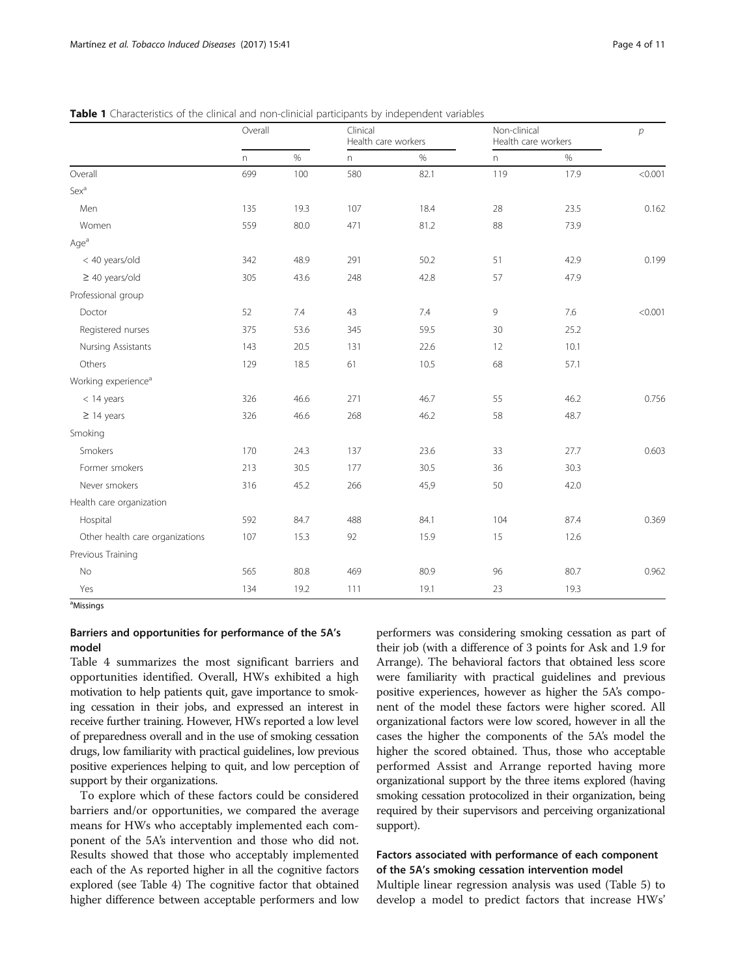|                                 | Overall |      | Clinical<br>Health care workers |      | Non-clinical<br>Health care workers |      | $\mathcal{P}$ |
|---------------------------------|---------|------|---------------------------------|------|-------------------------------------|------|---------------|
|                                 | n.      | $\%$ | n.                              | $\%$ | n                                   | $\%$ |               |
| Overall                         | 699     | 100  | 580                             | 82.1 | 119                                 | 17.9 | < 0.001       |
| Sex <sup>a</sup>                |         |      |                                 |      |                                     |      |               |
| Men                             | 135     | 19.3 | 107                             | 18.4 | 28                                  | 23.5 | 0.162         |
| Women                           | 559     | 80.0 | 471                             | 81.2 | 88                                  | 73.9 |               |
| Age <sup>a</sup>                |         |      |                                 |      |                                     |      |               |
| < 40 years/old                  | 342     | 48.9 | 291                             | 50.2 | 51                                  | 42.9 | 0.199         |
| $\geq$ 40 years/old             | 305     | 43.6 | 248                             | 42.8 | 57                                  | 47.9 |               |
| Professional group              |         |      |                                 |      |                                     |      |               |
| Doctor                          | 52      | 7.4  | 43                              | 7.4  | 9                                   | 7.6  | < 0.001       |
| Registered nurses               | 375     | 53.6 | 345                             | 59.5 | 30                                  | 25.2 |               |
| Nursing Assistants              | 143     | 20.5 | 131                             | 22.6 | 12                                  | 10.1 |               |
| Others                          | 129     | 18.5 | 61                              | 10.5 | 68                                  | 57.1 |               |
| Working experience <sup>a</sup> |         |      |                                 |      |                                     |      |               |
| $<$ 14 years                    | 326     | 46.6 | 271                             | 46.7 | 55                                  | 46.2 | 0.756         |
| $\geq$ 14 years                 | 326     | 46.6 | 268                             | 46.2 | 58                                  | 48.7 |               |
| Smoking                         |         |      |                                 |      |                                     |      |               |
| Smokers                         | 170     | 24.3 | 137                             | 23.6 | 33                                  | 27.7 | 0.603         |
| Former smokers                  | 213     | 30.5 | 177                             | 30.5 | 36                                  | 30.3 |               |
| Never smokers                   | 316     | 45.2 | 266                             | 45,9 | 50                                  | 42.0 |               |
| Health care organization        |         |      |                                 |      |                                     |      |               |
| Hospital                        | 592     | 84.7 | 488                             | 84.1 | 104                                 | 87.4 | 0.369         |
| Other health care organizations | 107     | 15.3 | 92                              | 15.9 | 15                                  | 12.6 |               |
| Previous Training               |         |      |                                 |      |                                     |      |               |
| <b>No</b>                       | 565     | 80.8 | 469                             | 80.9 | 96                                  | 80.7 | 0.962         |
| Yes                             | 134     | 19.2 | 111                             | 19.1 | 23                                  | 19.3 |               |

<span id="page-3-0"></span>Table 1 Characteristics of the clinical and non-clinicial participants by independent variables

<sup>a</sup>Missings

## Barriers and opportunities for performance of the 5A's model

Table [4](#page-6-0) summarizes the most significant barriers and opportunities identified. Overall, HWs exhibited a high motivation to help patients quit, gave importance to smoking cessation in their jobs, and expressed an interest in receive further training. However, HWs reported a low level of preparedness overall and in the use of smoking cessation drugs, low familiarity with practical guidelines, low previous positive experiences helping to quit, and low perception of support by their organizations.

To explore which of these factors could be considered barriers and/or opportunities, we compared the average means for HWs who acceptably implemented each component of the 5A's intervention and those who did not. Results showed that those who acceptably implemented each of the As reported higher in all the cognitive factors explored (see Table [4\)](#page-6-0) The cognitive factor that obtained higher difference between acceptable performers and low performers was considering smoking cessation as part of their job (with a difference of 3 points for Ask and 1.9 for Arrange). The behavioral factors that obtained less score were familiarity with practical guidelines and previous positive experiences, however as higher the 5A's component of the model these factors were higher scored. All organizational factors were low scored, however in all the cases the higher the components of the 5A's model the higher the scored obtained. Thus, those who acceptable performed Assist and Arrange reported having more organizational support by the three items explored (having smoking cessation protocolized in their organization, being required by their supervisors and perceiving organizational support).

## Factors associated with performance of each component of the 5A's smoking cessation intervention model

Multiple linear regression analysis was used (Table [5\)](#page-7-0) to develop a model to predict factors that increase HWs'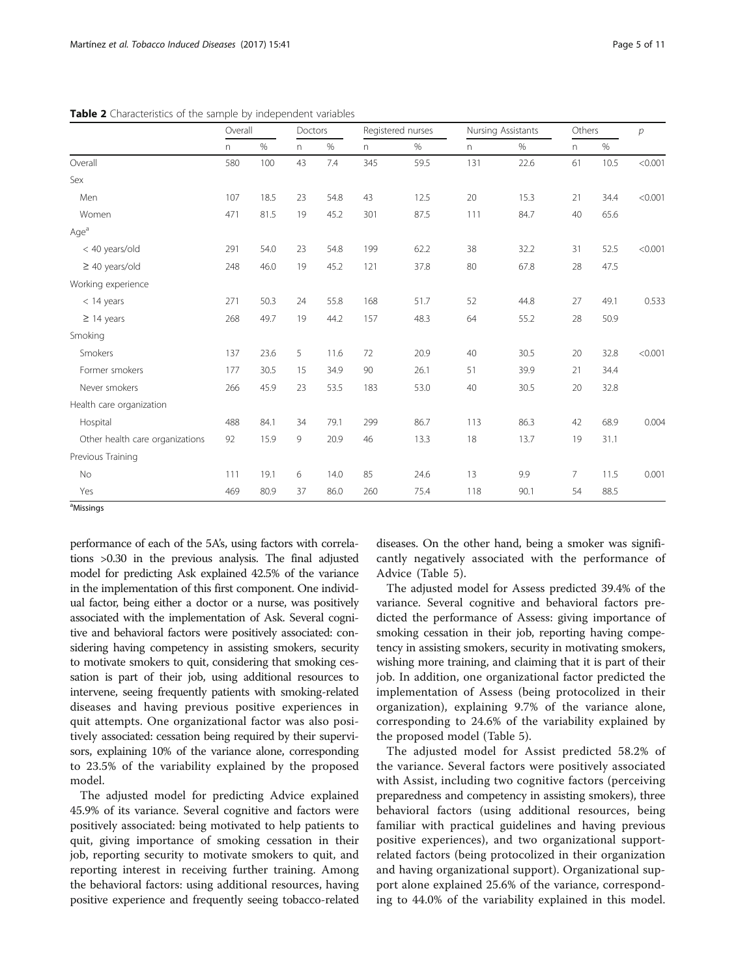|                                 | Overall      |      | Doctors |      |     | Registered nurses |     | Nursing Assistants | Others         |      | $\mathcal{P}$ |
|---------------------------------|--------------|------|---------|------|-----|-------------------|-----|--------------------|----------------|------|---------------|
|                                 | $\mathsf{n}$ | $\%$ | n.      | $\%$ | n   | %                 | n   | $\%$               | $\overline{n}$ | %    |               |
| Overall                         | 580          | 100  | 43      | 7.4  | 345 | 59.5              | 131 | 22.6               | 61             | 10.5 | < 0.001       |
| Sex                             |              |      |         |      |     |                   |     |                    |                |      |               |
| Men                             | 107          | 18.5 | 23      | 54.8 | 43  | 12.5              | 20  | 15.3               | 21             | 34.4 | < 0.001       |
| Women                           | 471          | 81.5 | 19      | 45.2 | 301 | 87.5              | 111 | 84.7               | 40             | 65.6 |               |
| Age <sup>a</sup>                |              |      |         |      |     |                   |     |                    |                |      |               |
| < 40 years/old                  | 291          | 54.0 | 23      | 54.8 | 199 | 62.2              | 38  | 32.2               | 31             | 52.5 | < 0.001       |
| $\geq$ 40 years/old             | 248          | 46.0 | 19      | 45.2 | 121 | 37.8              | 80  | 67.8               | 28             | 47.5 |               |
| Working experience              |              |      |         |      |     |                   |     |                    |                |      |               |
| $<$ 14 years                    | 271          | 50.3 | 24      | 55.8 | 168 | 51.7              | 52  | 44.8               | 27             | 49.1 | 0.533         |
| $\geq$ 14 years                 | 268          | 49.7 | 19      | 44.2 | 157 | 48.3              | 64  | 55.2               | 28             | 50.9 |               |
| Smoking                         |              |      |         |      |     |                   |     |                    |                |      |               |
| Smokers                         | 137          | 23.6 | 5       | 11.6 | 72  | 20.9              | 40  | 30.5               | 20             | 32.8 | < 0.001       |
| Former smokers                  | 177          | 30.5 | 15      | 34.9 | 90  | 26.1              | 51  | 39.9               | 21             | 34.4 |               |
| Never smokers                   | 266          | 45.9 | 23      | 53.5 | 183 | 53.0              | 40  | 30.5               | 20             | 32.8 |               |
| Health care organization        |              |      |         |      |     |                   |     |                    |                |      |               |
| Hospital                        | 488          | 84.1 | 34      | 79.1 | 299 | 86.7              | 113 | 86.3               | 42             | 68.9 | 0.004         |
| Other health care organizations | 92           | 15.9 | 9       | 20.9 | 46  | 13.3              | 18  | 13.7               | 19             | 31.1 |               |
| Previous Training               |              |      |         |      |     |                   |     |                    |                |      |               |
| No                              | 111          | 19.1 | 6       | 14.0 | 85  | 24.6              | 13  | 9.9                | $\overline{7}$ | 11.5 | 0.001         |
| Yes                             | 469          | 80.9 | 37      | 86.0 | 260 | 75.4              | 118 | 90.1               | 54             | 88.5 |               |

<span id="page-4-0"></span>Table 2 Characteristics of the sample by independent variables

<sup>a</sup>Missings

performance of each of the 5A's, using factors with correlations >0.30 in the previous analysis. The final adjusted model for predicting Ask explained 42.5% of the variance in the implementation of this first component. One individual factor, being either a doctor or a nurse, was positively associated with the implementation of Ask. Several cognitive and behavioral factors were positively associated: considering having competency in assisting smokers, security to motivate smokers to quit, considering that smoking cessation is part of their job, using additional resources to intervene, seeing frequently patients with smoking-related diseases and having previous positive experiences in quit attempts. One organizational factor was also positively associated: cessation being required by their supervisors, explaining 10% of the variance alone, corresponding to 23.5% of the variability explained by the proposed model.

The adjusted model for predicting Advice explained 45.9% of its variance. Several cognitive and factors were positively associated: being motivated to help patients to quit, giving importance of smoking cessation in their job, reporting security to motivate smokers to quit, and reporting interest in receiving further training. Among the behavioral factors: using additional resources, having positive experience and frequently seeing tobacco-related

diseases. On the other hand, being a smoker was significantly negatively associated with the performance of Advice (Table [5](#page-7-0)).

The adjusted model for Assess predicted 39.4% of the variance. Several cognitive and behavioral factors predicted the performance of Assess: giving importance of smoking cessation in their job, reporting having competency in assisting smokers, security in motivating smokers, wishing more training, and claiming that it is part of their job. In addition, one organizational factor predicted the implementation of Assess (being protocolized in their organization), explaining 9.7% of the variance alone, corresponding to 24.6% of the variability explained by the proposed model (Table [5\)](#page-7-0).

The adjusted model for Assist predicted 58.2% of the variance. Several factors were positively associated with Assist, including two cognitive factors (perceiving preparedness and competency in assisting smokers), three behavioral factors (using additional resources, being familiar with practical guidelines and having previous positive experiences), and two organizational supportrelated factors (being protocolized in their organization and having organizational support). Organizational support alone explained 25.6% of the variance, corresponding to 44.0% of the variability explained in this model.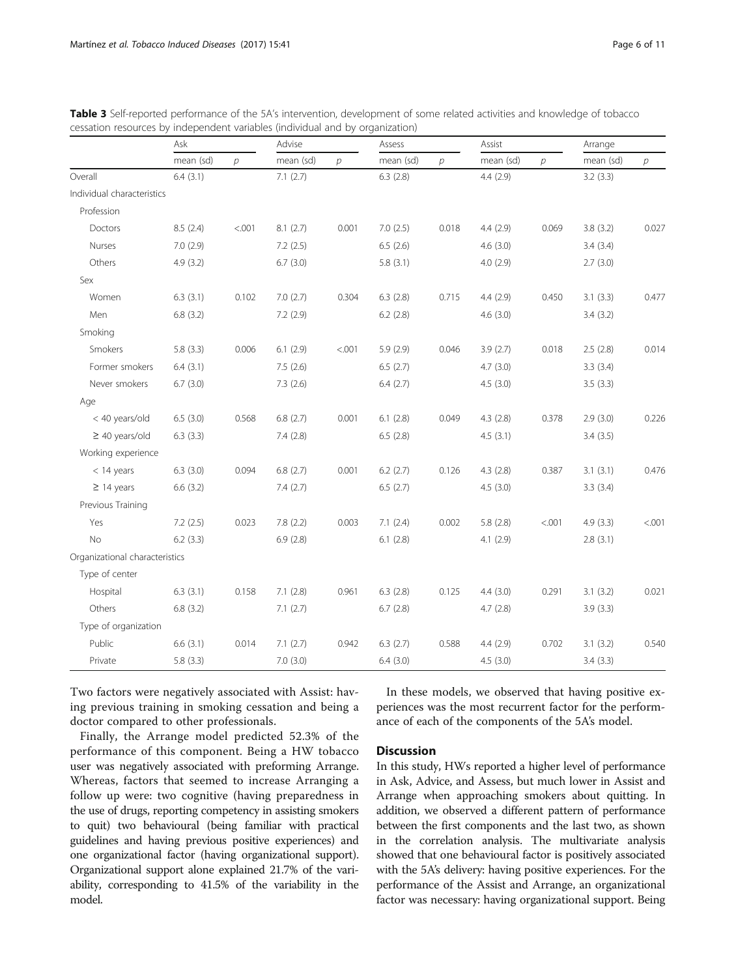|                                | Ask       |               | Advise    |               | Assess    |                | Assist    |        | Arrange   |                |
|--------------------------------|-----------|---------------|-----------|---------------|-----------|----------------|-----------|--------|-----------|----------------|
|                                | mean (sd) | $\mathcal{P}$ | mean (sd) | $\mathcal{D}$ | mean (sd) | $\overline{p}$ | mean (sd) | р      | mean (sd) | $\overline{p}$ |
| Overall                        | 6.4(3.1)  |               | 7.1(2.7)  |               | 6.3(2.8)  |                | 4.4(2.9)  |        | 3.2(3.3)  |                |
| Individual characteristics     |           |               |           |               |           |                |           |        |           |                |
| Profession                     |           |               |           |               |           |                |           |        |           |                |
| Doctors                        | 8.5(2.4)  | < .001        | 8.1(2.7)  | 0.001         | 7.0(2.5)  | 0.018          | 4.4(2.9)  | 0.069  | 3.8(3.2)  | 0.027          |
| Nurses                         | 7.0(2.9)  |               | 7.2(2.5)  |               | 6.5(2.6)  |                | 4.6(3.0)  |        | 3.4(3.4)  |                |
| Others                         | 4.9(3.2)  |               | 6.7(3.0)  |               | 5.8(3.1)  |                | 4.0 (2.9) |        | 2.7(3.0)  |                |
| Sex                            |           |               |           |               |           |                |           |        |           |                |
| Women                          | 6.3(3.1)  | 0.102         | 7.0(2.7)  | 0.304         | 6.3(2.8)  | 0.715          | 4.4(2.9)  | 0.450  | 3.1(3.3)  | 0.477          |
| Men                            | 6.8(3.2)  |               | 7.2 (2.9) |               | 6.2(2.8)  |                | 4.6(3.0)  |        | 3.4(3.2)  |                |
| Smoking                        |           |               |           |               |           |                |           |        |           |                |
| Smokers                        | 5.8(3.3)  | 0.006         | 6.1(2.9)  | < .001        | 5.9(2.9)  | 0.046          | 3.9(2.7)  | 0.018  | 2.5(2.8)  | 0.014          |
| Former smokers                 | 6.4(3.1)  |               | 7.5(2.6)  |               | 6.5(2.7)  |                | 4.7(3.0)  |        | 3.3(3.4)  |                |
| Never smokers                  | 6.7(3.0)  |               | 7.3(2.6)  |               | 6.4(2.7)  |                | 4.5(3.0)  |        | 3.5(3.3)  |                |
| Age                            |           |               |           |               |           |                |           |        |           |                |
| < 40 years/old                 | 6.5(3.0)  | 0.568         | 6.8(2.7)  | 0.001         | 6.1(2.8)  | 0.049          | 4.3(2.8)  | 0.378  | 2.9(3.0)  | 0.226          |
| $\geq$ 40 years/old            | 6.3(3.3)  |               | 7.4(2.8)  |               | 6.5(2.8)  |                | 4.5(3.1)  |        | 3.4(3.5)  |                |
| Working experience             |           |               |           |               |           |                |           |        |           |                |
| $<$ 14 years                   | 6.3(3.0)  | 0.094         | 6.8(2.7)  | 0.001         | 6.2(2.7)  | 0.126          | 4.3(2.8)  | 0.387  | 3.1(3.1)  | 0.476          |
| $\geq$ 14 years                | 6.6(3.2)  |               | 7.4(2.7)  |               | 6.5(2.7)  |                | 4.5(3.0)  |        | 3.3(3.4)  |                |
| Previous Training              |           |               |           |               |           |                |           |        |           |                |
| Yes                            | 7.2(2.5)  | 0.023         | 7.8(2.2)  | 0.003         | 7.1(2.4)  | 0.002          | 5.8(2.8)  | < .001 | 4.9(3.3)  | < .001         |
| No                             | 6.2(3.3)  |               | 6.9(2.8)  |               | 6.1(2.8)  |                | 4.1(2.9)  |        | 2.8(3.1)  |                |
| Organizational characteristics |           |               |           |               |           |                |           |        |           |                |
| Type of center                 |           |               |           |               |           |                |           |        |           |                |
| Hospital                       | 6.3(3.1)  | 0.158         | 7.1(2.8)  | 0.961         | 6.3(2.8)  | 0.125          | 4.4(3.0)  | 0.291  | 3.1(3.2)  | 0.021          |
| Others                         | 6.8(3.2)  |               | 7.1(2.7)  |               | 6.7(2.8)  |                | 4.7(2.8)  |        | 3.9(3.3)  |                |
| Type of organization           |           |               |           |               |           |                |           |        |           |                |
| Public                         | 6.6(3.1)  | 0.014         | 7.1(2.7)  | 0.942         | 6.3(2.7)  | 0.588          | 4.4(2.9)  | 0.702  | 3.1(3.2)  | 0.540          |
| Private                        | 5.8(3.3)  |               | 7.0(3.0)  |               | 6.4(3.0)  |                | 4.5(3.0)  |        | 3.4(3.3)  |                |

<span id="page-5-0"></span>

|  |  | Table 3 Self-reported performance of the 5A's intervention, development of some related activities and knowledge of tobacco |  |  |  |  |
|--|--|-----------------------------------------------------------------------------------------------------------------------------|--|--|--|--|
|  |  | cessation resources by independent variables (individual and by organization)                                               |  |  |  |  |

Two factors were negatively associated with Assist: having previous training in smoking cessation and being a doctor compared to other professionals.

Finally, the Arrange model predicted 52.3% of the performance of this component. Being a HW tobacco user was negatively associated with preforming Arrange. Whereas, factors that seemed to increase Arranging a follow up were: two cognitive (having preparedness in the use of drugs, reporting competency in assisting smokers to quit) two behavioural (being familiar with practical guidelines and having previous positive experiences) and one organizational factor (having organizational support). Organizational support alone explained 21.7% of the variability, corresponding to 41.5% of the variability in the model.

In these models, we observed that having positive experiences was the most recurrent factor for the performance of each of the components of the 5A's model.

## **Discussion**

In this study, HWs reported a higher level of performance in Ask, Advice, and Assess, but much lower in Assist and Arrange when approaching smokers about quitting. In addition, we observed a different pattern of performance between the first components and the last two, as shown in the correlation analysis. The multivariate analysis showed that one behavioural factor is positively associated with the 5A's delivery: having positive experiences. For the performance of the Assist and Arrange, an organizational factor was necessary: having organizational support. Being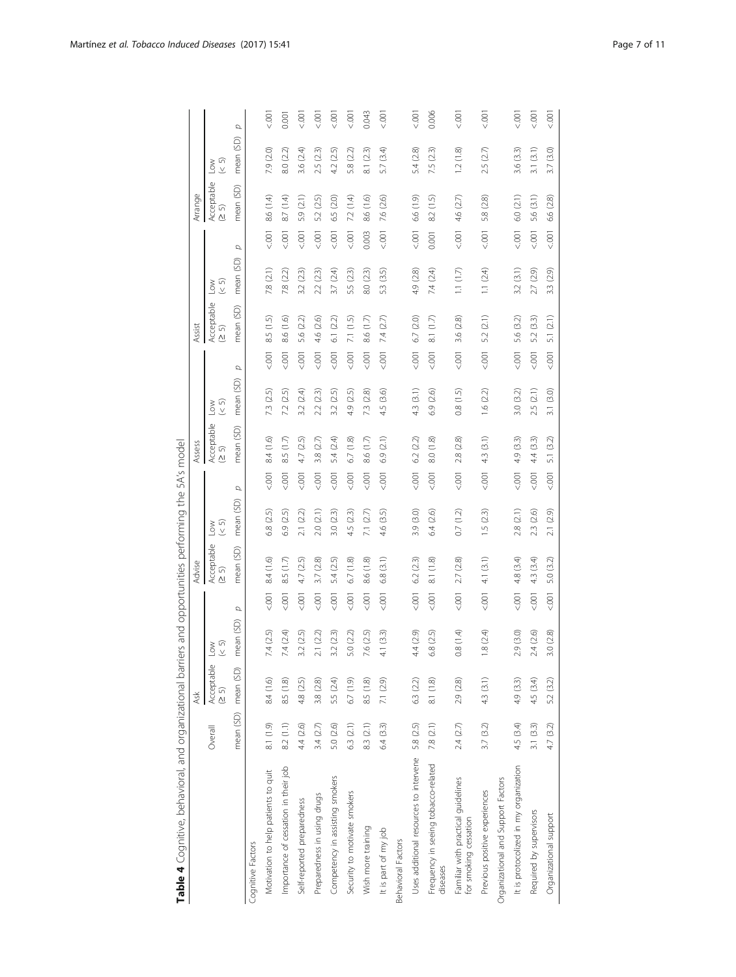<span id="page-6-0"></span>

| Table 4 Cognitive, behavioral, and organizational barriers and opportunities performing the 5A's model |           |                          |                       |                |                    |             |             |                    |                   |             |                    |                   |             |                    |                     |             |
|--------------------------------------------------------------------------------------------------------|-----------|--------------------------|-----------------------|----------------|--------------------|-------------|-------------|--------------------|-------------------|-------------|--------------------|-------------------|-------------|--------------------|---------------------|-------------|
|                                                                                                        |           | Ask                      |                       |                | Advise             |             |             | Assess             |                   |             | Assist             |                   |             | Arrange            |                     |             |
|                                                                                                        | Overall   | Acceptable<br>$(\geq 5)$ | $(< 5)$<br><b>NOT</b> |                | Acceptable<br>(25) | (5)<br>Low  |             | Acceptable<br>(25) | (5)<br><b>NOT</b> |             | Acceptable<br>(25) | (5)<br><b>NOT</b> |             | Acceptable<br>(25) | $(5)$<br><b>NOT</b> |             |
|                                                                                                        | mean (SD) | mean (SD)                | mean (SD)             | $\overline{a}$ | mean (SD)          | mean (SD)   | D           | mean (SD)          | mean (SD)         | σ           | mean (SD)          | mean (SD)         | d           | mean (SD)          | mean (SD)           | d           |
| Cognitive Factors                                                                                      |           |                          |                       |                |                    |             |             |                    |                   |             |                    |                   |             |                    |                     |             |
| Motivation to help patients to quit                                                                    | 8.1(1.9)  | 8.4 (1.6)                | 7.4 (2.5)             | 5001           | 8.4 (1.6)          | 6.8 (2.5)   | 5001        | 8.4 (1.6)          | 73 (2.5)          | 5001        | 8.5 (1.5)          | 7.8 (2.1)         | 5001        | 8.6 (1.4)          | 7.9 (2.0)           | $500 - 700$ |
| Importance of cessation in their job                                                                   | 8.2(1.1)  | 8.5 (1.8)                | 7.4 (2.4)             | 5001           | 8.5(1.7)           | 6.9 (2.5)   | 001         | 8.5 (1.7)          | 7.2 (2.5)         | $500 - 700$ | 8.6 (1.6)          | 7.8 (2.2)         | 5001        | 8.7 (1.4)          | 8.0 (2.2)           | 0.001       |
| Self-reported preparedness                                                                             | 4.4 (2.6) | 4.8 (2.5)                | 3.2(2.5)              | 5001           | 4.7 (2.5)          | 2.1 (2.2)   | 5001        | 4.7 (2.5)          | 3.2(2.4)          | 5001        | 5.6 (2.2)          | 3.2(2.3)          | 5001        | 5.9 (2.1)          | 3.6 (2.4)           | 5001        |
| Preparedness in using drugs                                                                            | 3.4 (2.7) | 3.8 (2.8)                | 2.1 (2.2)             | 5001           | 3.7(2.8)           | 2.0(2.1)    | 5001        | 3.8 (2.7)          | 2.2(2.3)          | $500 - 700$ | 4.6 (2.6)          | 2.2(2.3)          | 5001        | 5.2 (2.5)          | 2.5 (2.3)           | 5001        |
| Competency in assisting smokers                                                                        | 5.0 (2.6) | 5.5 (2.4)                | 3.2 (2.3)             | 5001           | 5.4 (2.5)          | 3.0(2.3)    | 5001        | 5.4 (2.4)          | 3.2 (2.5)         | $500 - 700$ | 6.1 (2.2)          | 3.7(2.4)          | 5001        | 6.5 (2.0)          | 4.2 (2.5)           | 5001        |
| Security to motivate smokers                                                                           | 6.3(2.1)  | 6.7(1.9)                 | 5.0 (2.2)             | 5001           | 6.7(1.8)           | 4.5 (2.3)   | 5001        | 67(1.8)            | 4.9 (2.5)         | 5001        | 7.1 (1.5)          | 5.5 (2.3)         | 0001        | 7.2 (1.4)          | 5.8 (2.2)           | 5001        |
| Wish more training                                                                                     | 8.3(2.1)  | 8.5 (1.8)                | 7.6 (2.5)             | 5001           | 8.6 (1.8)          | 7.1 $(2.7)$ | 5001        | 8.6 (1.7)          | 73 (2.8)          | $500 - 700$ | 8.6 (1.7)          | 8.0 (2.3)         | 0.003       | 8.6 (1.6)          | 8.1 (2.3)           | 0.043       |
| It is part of my job                                                                                   | 6.4(3.3)  | 7.1 (2.9)                | 4.1 (3.3)             | $500 - 700$    | 6.8(3.1)           | 4.6 (3.5)   | 5001        | 6.9 (2.1)          | 4.5 (3.6)         | $500 - 700$ | 7.4 (2.7)          | 5.3 (3.5)         | 0001        | 7.6 (2.6)          | 5.7 (3.4)           | 5001        |
| Behavioral Factors                                                                                     |           |                          |                       |                |                    |             |             |                    |                   |             |                    |                   |             |                    |                     |             |
| Uses additional resources to intervene                                                                 | 5.8 (2.5) | 6.3 (2.2)                | 4.4 (2.9)             | 5001           | 6.2 (2.3)          | 3.9 (3.0)   | 5001        | 6.2 (2.2)          | 4.3 (3.1)         | 5001        | 6.7 (2.0)          | 4.9 (2.8)         | $000 - 700$ | 6.6 (1.9)          | 5.4 (2.8)           | 5001        |
| Frequency in seeing tobacco-related<br>diseases                                                        | 7.8(2.1)  | 8.1(1.8)                 | 6.8 (2.5)             | $000 -$        | 8.1 (1.8)          | 6.4 (2.6)   | 5001        | 8.0 (1.8)          | 6.9 (2.6)         | $500 - 700$ | 8.1(1.7)           | 7.4 (2.4)         | 0.001       | 8.2 (1.5)          | 7.5 (2.3)           | 0.006       |
| Familiar with practical guidelines<br>for smoking cessation                                            | 2.4(2.7)  | 2.9(2.8)                 | 0.8(1.4)              | $000 -$        | 2.7 (2.8)          | 0.7(1.2)    | $000 - 700$ | 2.8 (2.8)          | 0.8(1.5)          | $500 - 700$ | 3.6 (2.8)          | 1.1(1.7)          | 001         | 4.6 (2.7)          | 1.2(1.8)            | 5001        |
| Previous positive experiences                                                                          | 3.7(3.2)  | 4.3 (3.1)                | 1.8(2.4)              | 001            | 4.1 (3.1)          | 1.5(2.3)    | 0000        | 4.3 (3.1)          | 1.6(2.2)          | $500 - 700$ | 5.2 (2.1)          | 1.1(2.4)          | 001         | 5.8 (2.8)          | 2.5 (2.7)           | $000 - 700$ |
| Organizational and Support Factors                                                                     |           |                          |                       |                |                    |             |             |                    |                   |             |                    |                   |             |                    |                     |             |
| It is protocolized in my organization                                                                  | 4.5 (3.4) | 4.9 (3.3)                | 2.9 (3.0)             | 5001           | 4.8 (3.4)          | 2.8 (2.1)   | 001         | 4.9 (3.3)          | 3.0 (3.2)         | 5001        | 5.6 (3.2)          | 3.2(3.1)          | 5001        | 6.0 (2.1)          | 3.6 (3.3)           | $500 - 700$ |
| Required by supervisors                                                                                | 3.1(3.3)  | 4.5 (3.4)                | 2.4(2.6)              | 5001           | 4.3 (3.4)          | 2.3 (2.6)   | 5001        | 4.4 (3.3)          | 2.5(2.1)          | $500 - 700$ | 5.2 (3.3)          | 2.7 (2.9)         | 001         | 5.6 (3.1)          | 3.1(3.1)            | 5001        |
| Organizational support                                                                                 | 4.7 (3.2) | 5.2 (3.2)                | 3.0 (2.8)             | 000            | 5.0 (3.2)          | 2.1 (2.9)   | 5001        | 5.1 (3.2)          | 3.1 (3.0)         | 5001        | 5.1 (2.1)          | 3.3 (2.9)         | 001         | 6.6 (2.8)          | 3.7 (3.0)           | 5001        |
|                                                                                                        |           |                          |                       |                |                    |             |             |                    |                   |             |                    |                   |             |                    |                     |             |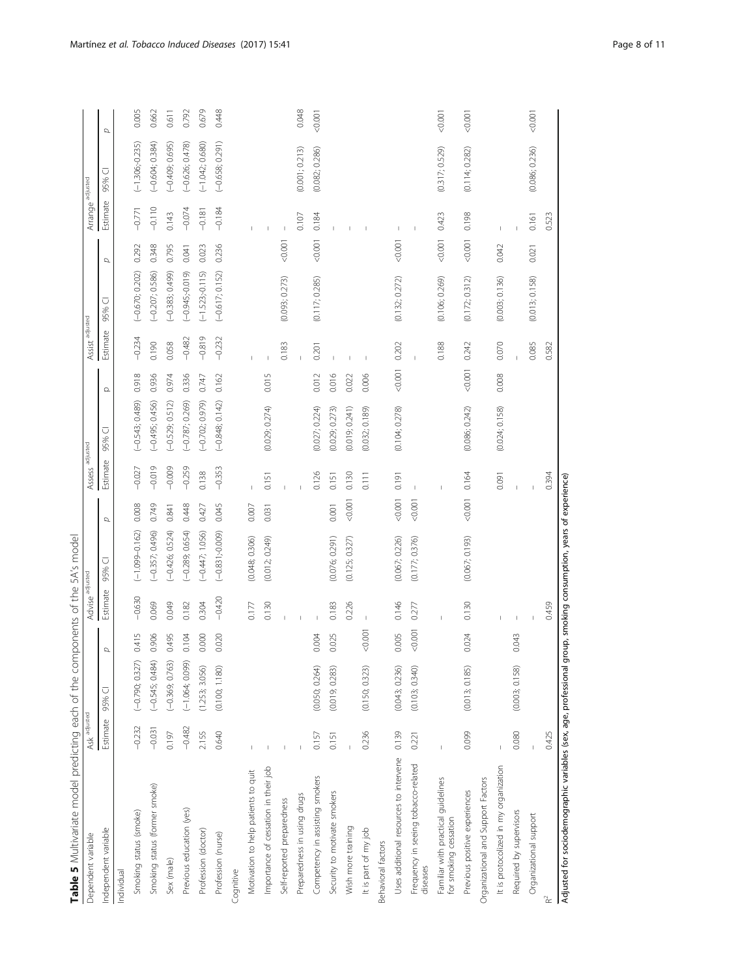<span id="page-7-0"></span>

| Table 5 Multivariate model predicting each of the components of the 5A's model                                   |                          |                   |        |                 |                    |         |                 |                   |          |                 |                    |         |                  |                   |        |
|------------------------------------------------------------------------------------------------------------------|--------------------------|-------------------|--------|-----------------|--------------------|---------|-----------------|-------------------|----------|-----------------|--------------------|---------|------------------|-------------------|--------|
| Dependent variable                                                                                               | Ask adjusted             |                   |        | Advise adjusted |                    |         | Assess adjusted |                   |          | Assist adjusted |                    |         | Arrange adjusted |                   |        |
| Independent variable                                                                                             | Estimate                 | ○<br>95%          | σ      | Estimate        | ⊽<br>95%           | σ       | Estimate        | ○<br>95%          | $\Omega$ | Estimate        | ○<br>95%           | σ       | Estimate         | ○<br>95%          | σ      |
| Individual                                                                                                       |                          |                   |        |                 |                    |         |                 |                   |          |                 |                    |         |                  |                   |        |
| Smoking status (smoke)                                                                                           | $-0.232$                 | $(-0.790; 0.327)$ | 0.415  | $-0.630$        | $(-1.099 - 0.162)$ | 0.008   | $-0.027$        | $(-0.543; 0.489)$ | 0.918    | $-0.234$        | $(-0.670; 0.202)$  | 0.292   | $-0.771$         | $-1.306; -0.235$  | 0.005  |
| Smoking status (former smoke)                                                                                    | $-0.031$                 | $(-0.545; 0.484)$ | 0.906  | 0.069           | $(-0.357; 0.496)$  | 0.749   | $-0.019$        | $(-0.495; 0.456)$ | 0.936    | 0.190           | $(-0.207; 0.586)$  | 0.348   | $-0.110$         | $(-0.604; 0.384)$ | 0.662  |
| Sex (male)                                                                                                       | 0.197                    | $(-0.369; 0.763)$ | 0.495  | 0.049           | $(-0.426; 0.524)$  | 0.841   | $-0.009$        | $(-0.529; 0.512)$ | 0.974    | 0.058           | $(-0.383; 0.499)$  | 0.795   | 0.143            | $(-0.409; 0.695)$ | 0.611  |
| Previous education (yes)                                                                                         | $-0.482$                 | $(-1.064; 0.099)$ | 0.104  | 0.182           | $(-0.289; 0.654)$  | 0.448   | $-0.259$        | $(-0.787; 0.269)$ | 0.336    | $-0.482$        | $(-0.945, 0.019)$  | 0.041   | $-0.074$         | $(-0.626; 0.478)$ | 0.792  |
| Profession (doctor)                                                                                              | 2.155                    | (1.253; 3.056)    | 0.000  | 0.304           | $(-0.447; 1.056)$  | 0.427   | 0.138           | $(-0.702; 0.979)$ | 0.747    | $-0.819$        | $(-1.523; -0.115)$ | 0.023   | $-0.181$         | $(-1.042; 0.680)$ | 0.679  |
| Profession (nurse)                                                                                               | 0.640                    | (0.100; 1.180)    | 0.020  | $-0.420$        | $(-0.831,-0.009)$  | 0.045   | $-0.353$        | $(-0.848; 0.142)$ | 0.162    | $-0.232$        | $(-0.617; 0.152)$  | 0.236   | $-0.184$         | $(-0.658; 0.291)$ | 0.448  |
| Cognitive                                                                                                        |                          |                   |        |                 |                    |         |                 |                   |          |                 |                    |         |                  |                   |        |
| Motivation to help patients to quit                                                                              |                          |                   |        | 0.177           | (0.048; 0.306)     | 0.007   |                 |                   |          |                 |                    |         |                  |                   |        |
| Importance of cessation in their job                                                                             |                          |                   |        | 0.130           | (0.012; 0.249)     | 0.031   | 0.151           | (0.029; 0.274)    | 0.015    |                 |                    |         |                  |                   |        |
| Self-reported preparedness                                                                                       |                          |                   |        |                 |                    |         |                 |                   |          | 0.183           | (0.093; 0.273)     | < 0.001 |                  |                   |        |
| Preparedness in using drugs                                                                                      |                          |                   |        |                 |                    |         |                 |                   |          |                 |                    |         | 0.107            | (0.001; 0.213)    | 0.048  |
| Competency in assisting smokers                                                                                  | 0.157                    | (0.050; 0.264)    | 0.004  |                 |                    |         | 0.126           | (0.027; 0.224)    | 0.012    | 0.201           | (0.117; 0.285)     | 10000   | 0.184            | (0.082; 0.286)    | 0.0001 |
| Security to motivate smokers                                                                                     | 0.151                    | (0.019; 0.283)    | 0.025  | 0.183           | (0.076; 0.291)     | 0.001   | 0.151           | (0.029; 0.273)    | 0.016    |                 |                    |         |                  |                   |        |
| Wish more training                                                                                               |                          |                   |        | 0.226           | (0.125; 0.327)     | 10000   | 0.130           | (0.019; 0.241)    | 0.022    |                 |                    |         |                  |                   |        |
| It is part of my job                                                                                             | 0.236                    | (0.150; 0.323)    | 0.0001 |                 |                    |         | 0.111           | (0.032; 0.189)    | 0.006    |                 |                    |         |                  |                   |        |
| Behavioral factors                                                                                               |                          |                   |        |                 |                    |         |                 |                   |          |                 |                    |         |                  |                   |        |
| Uses additional resources to intervene                                                                           | 0.139                    | (0.043; 0.236)    | 0.005  | 0.146           | (0.067; 0.226)     | 0.001   | 0.191           | (0.104; 0.278)    | < 0.001  | 0.202           | (0.132; 0.272)     | < 0.001 | $\mathbb{I}$     |                   |        |
| Frequency in seeing tobacco-related<br>diseases                                                                  | 0.221                    | (0.103; 0.340)    | 0.001  | 0.277           | (0.177; 0.376)     | 0.001   |                 |                   |          |                 |                    |         |                  |                   |        |
| Familiar with practical guidelines<br>for smoking cessation                                                      | $\overline{\phantom{a}}$ |                   |        |                 |                    |         |                 |                   |          | 0.188           | (0.106; 0.269)     | 10000   | 0.423            | (0.317; 0.529)    | 0.0001 |
| Previous positive experiences                                                                                    | 0.099                    | (0.013; 0.185)    | 0.024  | 0.130           | (0.067; 0.193)     | < 0.001 | 0.164           | (0.086; 0.242)    | 10000    | 0.242           | (0.172; 0.312)     | 10001   | 0.198            | (0.114; 0.282)    | 0.0001 |
| Organizational and Support Factors                                                                               |                          |                   |        |                 |                    |         |                 |                   |          |                 |                    |         |                  |                   |        |
| It is protocolized in my organization                                                                            |                          |                   |        |                 |                    |         | 0.091           | (0.024; 0.158)    | 0.008    | 0.070           | (0.003; 0.136)     | 0.042   | J.               |                   |        |
| Required by supervisors                                                                                          | 0.080                    | (0.003; 0.158)    | 0.043  |                 |                    |         |                 |                   |          |                 |                    |         |                  |                   |        |
| Organizational support                                                                                           |                          |                   |        |                 |                    |         |                 |                   |          | 0.085           | (0.013; 0.158)     | 0.021   | 0.161            | (0.086; 0.236)    | 10000  |
| ∝                                                                                                                | 0.425                    |                   |        | 0.459           |                    |         | 0.394           |                   |          | 0.582           |                    |         | 0.523            |                   |        |
| Adjusted for sociodemographic variables (sex, age, professional group, smoking consumption, years of experience) |                          |                   |        |                 |                    |         |                 |                   |          |                 |                    |         |                  |                   |        |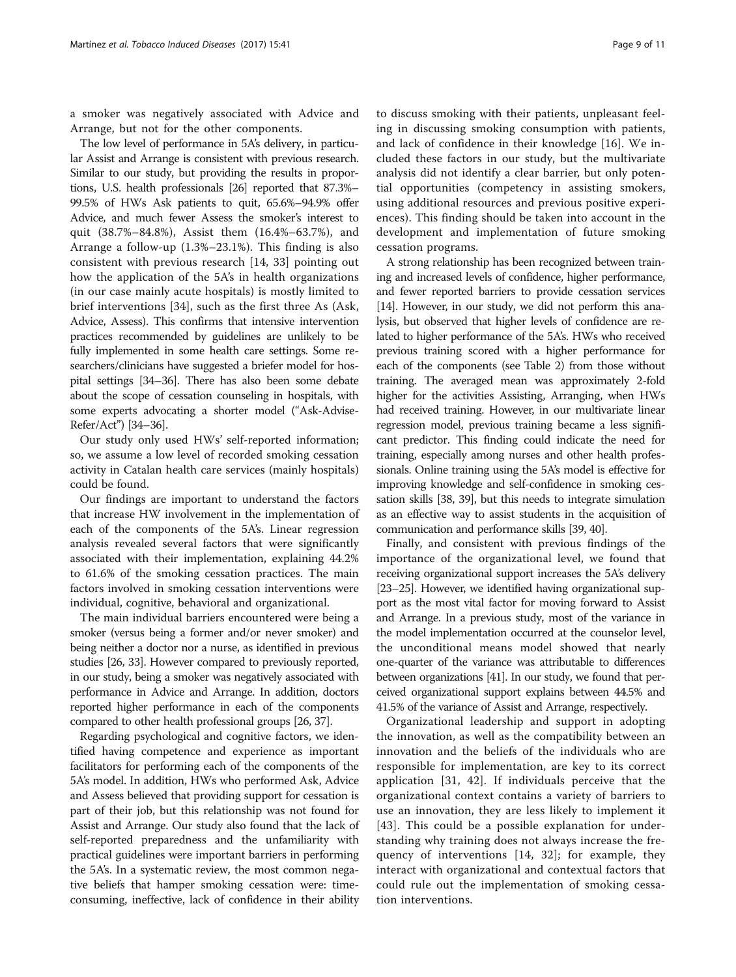a smoker was negatively associated with Advice and Arrange, but not for the other components.

The low level of performance in 5A's delivery, in particular Assist and Arrange is consistent with previous research. Similar to our study, but providing the results in proportions, U.S. health professionals [\[26](#page-10-0)] reported that 87.3%– 99.5% of HWs Ask patients to quit, 65.6%–94.9% offer Advice, and much fewer Assess the smoker's interest to quit (38.7%–84.8%), Assist them (16.4%–63.7%), and Arrange a follow-up (1.3%–23.1%). This finding is also consistent with previous research [\[14](#page-10-0), [33](#page-10-0)] pointing out how the application of the 5A's in health organizations (in our case mainly acute hospitals) is mostly limited to brief interventions [[34\]](#page-10-0), such as the first three As (Ask, Advice, Assess). This confirms that intensive intervention practices recommended by guidelines are unlikely to be fully implemented in some health care settings. Some researchers/clinicians have suggested a briefer model for hospital settings [[34](#page-10-0)–[36](#page-10-0)]. There has also been some debate about the scope of cessation counseling in hospitals, with some experts advocating a shorter model ("Ask-Advise-Refer/Act") [\[34](#page-10-0)–[36\]](#page-10-0).

Our study only used HWs' self-reported information; so, we assume a low level of recorded smoking cessation activity in Catalan health care services (mainly hospitals) could be found.

Our findings are important to understand the factors that increase HW involvement in the implementation of each of the components of the 5A's. Linear regression analysis revealed several factors that were significantly associated with their implementation, explaining 44.2% to 61.6% of the smoking cessation practices. The main factors involved in smoking cessation interventions were individual, cognitive, behavioral and organizational.

The main individual barriers encountered were being a smoker (versus being a former and/or never smoker) and being neither a doctor nor a nurse, as identified in previous studies [[26, 33](#page-10-0)]. However compared to previously reported, in our study, being a smoker was negatively associated with performance in Advice and Arrange. In addition, doctors reported higher performance in each of the components compared to other health professional groups [[26](#page-10-0), [37](#page-10-0)].

Regarding psychological and cognitive factors, we identified having competence and experience as important facilitators for performing each of the components of the 5A's model. In addition, HWs who performed Ask, Advice and Assess believed that providing support for cessation is part of their job, but this relationship was not found for Assist and Arrange. Our study also found that the lack of self-reported preparedness and the unfamiliarity with practical guidelines were important barriers in performing the 5A's. In a systematic review, the most common negative beliefs that hamper smoking cessation were: timeconsuming, ineffective, lack of confidence in their ability

to discuss smoking with their patients, unpleasant feeling in discussing smoking consumption with patients, and lack of confidence in their knowledge [[16\]](#page-10-0). We included these factors in our study, but the multivariate analysis did not identify a clear barrier, but only potential opportunities (competency in assisting smokers, using additional resources and previous positive experiences). This finding should be taken into account in the development and implementation of future smoking cessation programs.

A strong relationship has been recognized between training and increased levels of confidence, higher performance, and fewer reported barriers to provide cessation services [[14](#page-10-0)]. However, in our study, we did not perform this analysis, but observed that higher levels of confidence are related to higher performance of the 5A's. HWs who received previous training scored with a higher performance for each of the components (see Table [2\)](#page-4-0) from those without training. The averaged mean was approximately 2-fold higher for the activities Assisting, Arranging, when HWs had received training. However, in our multivariate linear regression model, previous training became a less significant predictor. This finding could indicate the need for training, especially among nurses and other health professionals. Online training using the 5A's model is effective for improving knowledge and self-confidence in smoking cessation skills [[38](#page-10-0), [39\]](#page-10-0), but this needs to integrate simulation as an effective way to assist students in the acquisition of communication and performance skills [\[39, 40\]](#page-10-0).

Finally, and consistent with previous findings of the importance of the organizational level, we found that receiving organizational support increases the 5A's delivery [[23](#page-10-0)–[25](#page-10-0)]. However, we identified having organizational support as the most vital factor for moving forward to Assist and Arrange. In a previous study, most of the variance in the model implementation occurred at the counselor level, the unconditional means model showed that nearly one-quarter of the variance was attributable to differences between organizations [[41\]](#page-10-0). In our study, we found that perceived organizational support explains between 44.5% and 41.5% of the variance of Assist and Arrange, respectively.

Organizational leadership and support in adopting the innovation, as well as the compatibility between an innovation and the beliefs of the individuals who are responsible for implementation, are key to its correct application [\[31](#page-10-0), [42](#page-10-0)]. If individuals perceive that the organizational context contains a variety of barriers to use an innovation, they are less likely to implement it [[43](#page-10-0)]. This could be a possible explanation for understanding why training does not always increase the frequency of interventions [[14, 32](#page-10-0)]; for example, they interact with organizational and contextual factors that could rule out the implementation of smoking cessation interventions.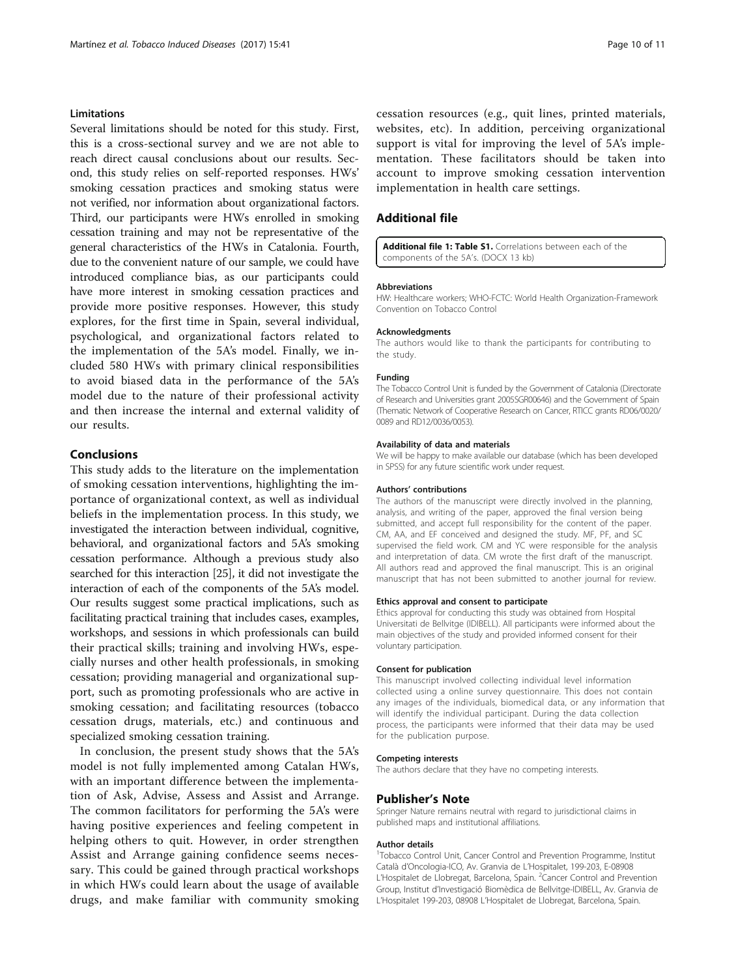## <span id="page-9-0"></span>Limitations

Several limitations should be noted for this study. First, this is a cross-sectional survey and we are not able to reach direct causal conclusions about our results. Second, this study relies on self-reported responses. HWs' smoking cessation practices and smoking status were not verified, nor information about organizational factors. Third, our participants were HWs enrolled in smoking cessation training and may not be representative of the general characteristics of the HWs in Catalonia. Fourth, due to the convenient nature of our sample, we could have introduced compliance bias, as our participants could have more interest in smoking cessation practices and provide more positive responses. However, this study explores, for the first time in Spain, several individual, psychological, and organizational factors related to the implementation of the 5A's model. Finally, we included 580 HWs with primary clinical responsibilities to avoid biased data in the performance of the 5A's model due to the nature of their professional activity and then increase the internal and external validity of our results.

## Conclusions

This study adds to the literature on the implementation of smoking cessation interventions, highlighting the importance of organizational context, as well as individual beliefs in the implementation process. In this study, we investigated the interaction between individual, cognitive, behavioral, and organizational factors and 5A's smoking cessation performance. Although a previous study also searched for this interaction [\[25\]](#page-10-0), it did not investigate the interaction of each of the components of the 5A's model. Our results suggest some practical implications, such as facilitating practical training that includes cases, examples, workshops, and sessions in which professionals can build their practical skills; training and involving HWs, especially nurses and other health professionals, in smoking cessation; providing managerial and organizational support, such as promoting professionals who are active in smoking cessation; and facilitating resources (tobacco cessation drugs, materials, etc.) and continuous and specialized smoking cessation training.

In conclusion, the present study shows that the 5A's model is not fully implemented among Catalan HWs, with an important difference between the implementation of Ask, Advise, Assess and Assist and Arrange. The common facilitators for performing the 5A's were having positive experiences and feeling competent in helping others to quit. However, in order strengthen Assist and Arrange gaining confidence seems necessary. This could be gained through practical workshops in which HWs could learn about the usage of available drugs, and make familiar with community smoking

cessation resources (e.g., quit lines, printed materials, websites, etc). In addition, perceiving organizational support is vital for improving the level of 5A's implementation. These facilitators should be taken into account to improve smoking cessation intervention implementation in health care settings.

### Additional file

[Additional file 1: Table S1.](dx.doi.org/10.1186/s12971-017-0146-7) Correlations between each of the components of the 5A's. (DOCX 13 kb)

#### **Abbreviations**

HW: Healthcare workers; WHO-FCTC: World Health Organization-Framework Convention on Tobacco Control

#### Acknowledgments

The authors would like to thank the participants for contributing to the study.

#### Funding

The Tobacco Control Unit is funded by the Government of Catalonia (Directorate of Research and Universities grant 2005SGR00646) and the Government of Spain (Thematic Network of Cooperative Research on Cancer, RTICC grants RD06/0020/ 0089 and RD12/0036/0053).

#### Availability of data and materials

We will be happy to make available our database (which has been developed in SPSS) for any future scientific work under request.

#### Authors' contributions

The authors of the manuscript were directly involved in the planning, analysis, and writing of the paper, approved the final version being submitted, and accept full responsibility for the content of the paper. CM, AA, and EF conceived and designed the study. MF, PF, and SC supervised the field work. CM and YC were responsible for the analysis and interpretation of data. CM wrote the first draft of the manuscript. All authors read and approved the final manuscript. This is an original manuscript that has not been submitted to another journal for review.

#### Ethics approval and consent to participate

Ethics approval for conducting this study was obtained from Hospital Universitati de Bellvitge (IDIBELL). All participants were informed about the main objectives of the study and provided informed consent for their voluntary participation.

#### Consent for publication

This manuscript involved collecting individual level information collected using a online survey questionnaire. This does not contain any images of the individuals, biomedical data, or any information that will identify the individual participant. During the data collection process, the participants were informed that their data may be used for the publication purpose.

#### Competing interests

The authors declare that they have no competing interests.

#### Publisher's Note

Springer Nature remains neutral with regard to jurisdictional claims in published maps and institutional affiliations.

#### Author details

<sup>1</sup>Tobacco Control Unit, Cancer Control and Prevention Programme, Institut Català d'Oncologia-ICO, Av. Granvia de L'Hospitalet, 199-203, E-08908 L'Hospitalet de Llobregat, Barcelona, Spain. <sup>2</sup> Cancer Control and Prevention Group, Institut d'Investigació Biomèdica de Bellvitge-IDIBELL, Av. Granvia de L'Hospitalet 199-203, 08908 L'Hospitalet de Llobregat, Barcelona, Spain.